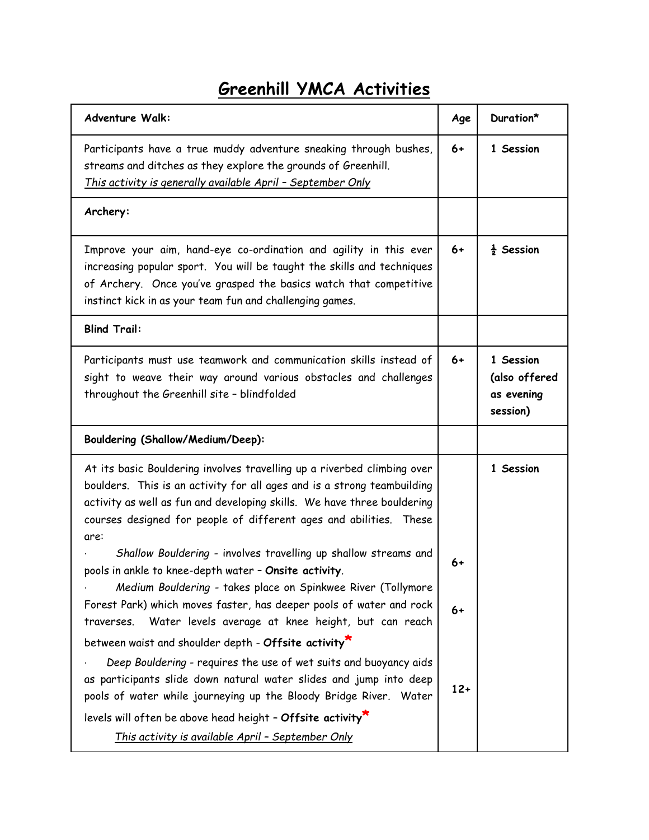## **Greenhill YMCA Activities**

| <b>Adventure Walk:</b>                                                                                                                                                                                                                                                                                      | Age   | Duration*                                            |
|-------------------------------------------------------------------------------------------------------------------------------------------------------------------------------------------------------------------------------------------------------------------------------------------------------------|-------|------------------------------------------------------|
| Participants have a true muddy adventure sneaking through bushes,<br>streams and ditches as they explore the grounds of Greenhill.<br>This activity is generally available April - September Only                                                                                                           | $6+$  | 1 Session                                            |
| Archery:                                                                                                                                                                                                                                                                                                    |       |                                                      |
| Improve your aim, hand-eye co-ordination and agility in this ever<br>increasing popular sport. You will be taught the skills and techniques<br>of Archery. Once you've grasped the basics watch that competitive<br>instinct kick in as your team fun and challenging games.                                | $6+$  | $\frac{1}{2}$ Session                                |
| <b>Blind Trail:</b>                                                                                                                                                                                                                                                                                         |       |                                                      |
| Participants must use teamwork and communication skills instead of<br>sight to weave their way around various obstacles and challenges<br>throughout the Greenhill site - blindfolded                                                                                                                       | $6+$  | 1 Session<br>(also offered<br>as evening<br>session) |
| Bouldering (Shallow/Medium/Deep):                                                                                                                                                                                                                                                                           |       |                                                      |
| At its basic Bouldering involves travelling up a riverbed climbing over<br>boulders. This is an activity for all ages and is a strong teambuilding<br>activity as well as fun and developing skills. We have three bouldering<br>courses designed for people of different ages and abilities. These<br>are: |       | 1 Session                                            |
| Shallow Bouldering - involves travelling up shallow streams and<br>pools in ankle to knee-depth water - Onsite activity.<br>Medium Bouldering - takes place on Spinkwee River (Tollymore                                                                                                                    | 6+    |                                                      |
| Forest Park) which moves faster, has deeper pools of water and rock<br>Water levels average at knee height, but can reach<br>traverses.                                                                                                                                                                     | 6+    |                                                      |
| between waist and shoulder depth - Offsite activity*                                                                                                                                                                                                                                                        |       |                                                      |
| Deep Bouldering - requires the use of wet suits and buoyancy aids<br>as participants slide down natural water slides and jump into deep<br>pools of water while journeying up the Bloody Bridge River. Water                                                                                                | $12+$ |                                                      |
| levels will often be above head height - Offsite activity                                                                                                                                                                                                                                                   |       |                                                      |
| This activity is available April - September Only                                                                                                                                                                                                                                                           |       |                                                      |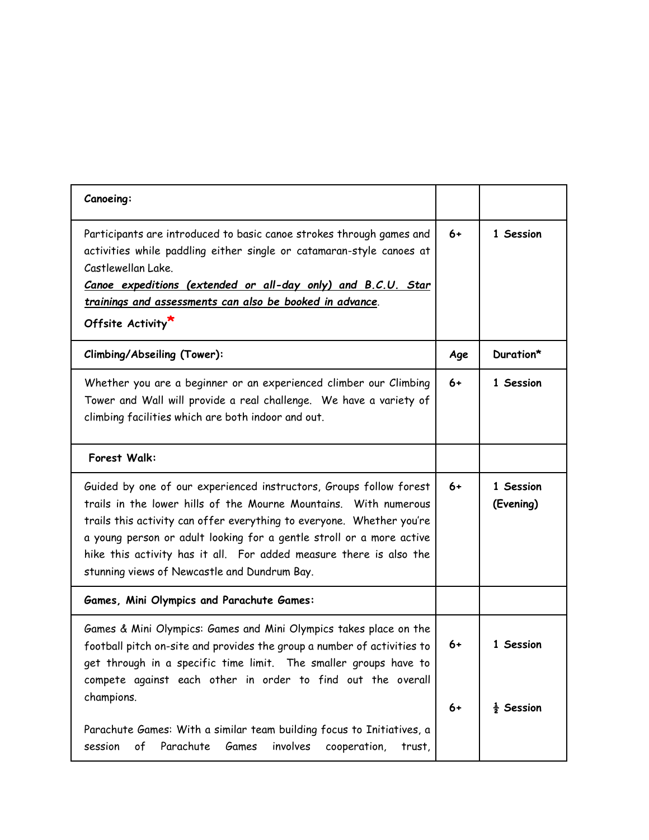| Canoeing:                                                                                                                                                                                                                                                                                                                                                                                                     |      |                        |
|---------------------------------------------------------------------------------------------------------------------------------------------------------------------------------------------------------------------------------------------------------------------------------------------------------------------------------------------------------------------------------------------------------------|------|------------------------|
| Participants are introduced to basic canoe strokes through games and<br>activities while paddling either single or catamaran-style canoes at<br>Castlewellan Lake.<br>Canoe expeditions (extended or all-day only) and B.C.U. Star<br>trainings and assessments can also be booked in advance.<br>Offsite Activity                                                                                            | $6+$ | 1 Session              |
| Climbing/Abseiling (Tower):                                                                                                                                                                                                                                                                                                                                                                                   | Age  | Duration*              |
| Whether you are a beginner or an experienced climber our Climbing<br>Tower and Wall will provide a real challenge. We have a variety of<br>climbing facilities which are both indoor and out.                                                                                                                                                                                                                 | $6+$ | 1 Session              |
| Forest Walk:                                                                                                                                                                                                                                                                                                                                                                                                  |      |                        |
| Guided by one of our experienced instructors, Groups follow forest<br>trails in the lower hills of the Mourne Mountains. With numerous<br>trails this activity can offer everything to everyone. Whether you're<br>a young person or adult looking for a gentle stroll or a more active<br>hike this activity has it all. For added measure there is also the<br>stunning views of Newcastle and Dundrum Bay. | $6+$ | 1 Session<br>(Evening) |
| Games, Mini Olympics and Parachute Games:                                                                                                                                                                                                                                                                                                                                                                     |      |                        |
| Games & Mini Olympics: Games and Mini Olympics takes place on the<br>football pitch on-site and provides the group a number of activities to<br>get through in a specific time limit. The smaller groups have to<br>compete against each other in order to find out the overall                                                                                                                               | 6+   | 1 Session              |
| champions.<br>Parachute Games: With a similar team building focus to Initiatives, a<br>involves<br>of<br>Parachute<br>Games<br>session<br>cooperation,<br>trust,                                                                                                                                                                                                                                              | $6+$ | $\frac{1}{2}$ Session  |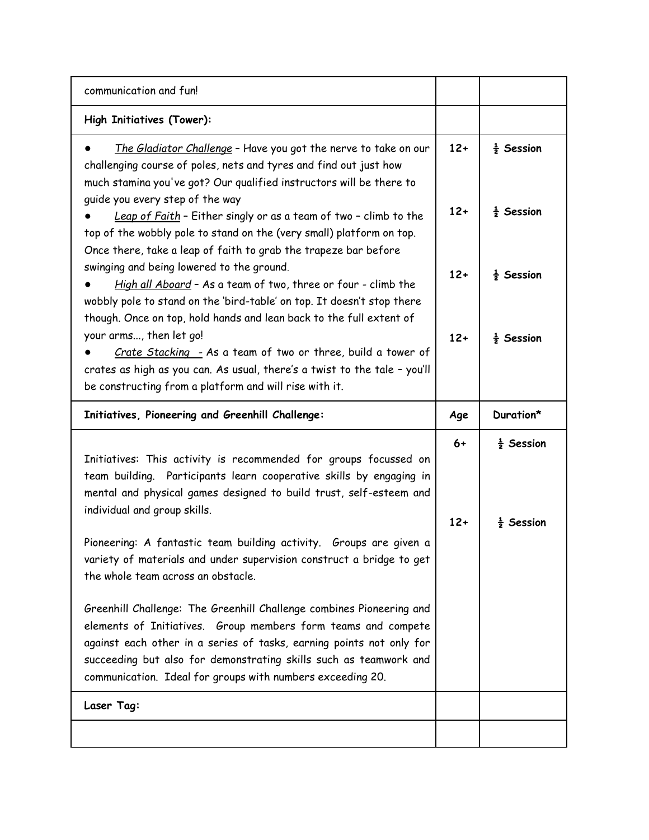| communication and fun!                                                                                                                                                                                                                                                                                                                                                                                                                                                                                                                                                                                                                                                                                                                                                                                                                                                                                                                                         |                                  |                                                                                                  |
|----------------------------------------------------------------------------------------------------------------------------------------------------------------------------------------------------------------------------------------------------------------------------------------------------------------------------------------------------------------------------------------------------------------------------------------------------------------------------------------------------------------------------------------------------------------------------------------------------------------------------------------------------------------------------------------------------------------------------------------------------------------------------------------------------------------------------------------------------------------------------------------------------------------------------------------------------------------|----------------------------------|--------------------------------------------------------------------------------------------------|
| High Initiatives (Tower):                                                                                                                                                                                                                                                                                                                                                                                                                                                                                                                                                                                                                                                                                                                                                                                                                                                                                                                                      |                                  |                                                                                                  |
| The Gladiator Challenge - Have you got the nerve to take on our<br>challenging course of poles, nets and tyres and find out just how<br>much stamina you've got? Our qualified instructors will be there to<br>guide you every step of the way<br>Leap of Faith - Either singly or as a team of two - climb to the<br>top of the wobbly pole to stand on the (very small) platform on top.<br>Once there, take a leap of faith to grab the trapeze bar before<br>swinging and being lowered to the ground.<br>High all Aboard - As a team of two, three or four - climb the<br>wobbly pole to stand on the 'bird-table' on top. It doesn't stop there<br>though. Once on top, hold hands and lean back to the full extent of<br>your arms, then let go!<br>Crate Stacking - As a team of two or three, build a tower of<br>crates as high as you can. As usual, there's a twist to the tale - you'll<br>be constructing from a platform and will rise with it. | $12+$<br>$12+$<br>$12+$<br>$12+$ | $\frac{1}{2}$ Session<br>$\frac{1}{2}$ Session<br>$\frac{1}{2}$ Session<br>$\frac{1}{2}$ Session |
| Initiatives, Pioneering and Greenhill Challenge:                                                                                                                                                                                                                                                                                                                                                                                                                                                                                                                                                                                                                                                                                                                                                                                                                                                                                                               | Age                              | Duration*                                                                                        |
| Initiatives: This activity is recommended for groups focussed on<br>team building. Participants learn cooperative skills by engaging in<br>mental and physical games designed to build trust, self-esteem and<br>individual and group skills.<br>Pioneering: A fantastic team building activity. Groups are given a<br>variety of materials and under supervision construct a bridge to get<br>the whole team across an obstacle.<br>Greenhill Challenge: The Greenhill Challenge combines Pioneering and<br>elements of Initiatives. Group members form teams and compete<br>against each other in a series of tasks, earning points not only for<br>succeeding but also for demonstrating skills such as teamwork and<br>communication. Ideal for groups with numbers exceeding 20.<br>Laser Tag:                                                                                                                                                            | $6+$<br>$12+$                    | $\frac{1}{2}$ Session<br>$\frac{1}{2}$ Session                                                   |
|                                                                                                                                                                                                                                                                                                                                                                                                                                                                                                                                                                                                                                                                                                                                                                                                                                                                                                                                                                |                                  |                                                                                                  |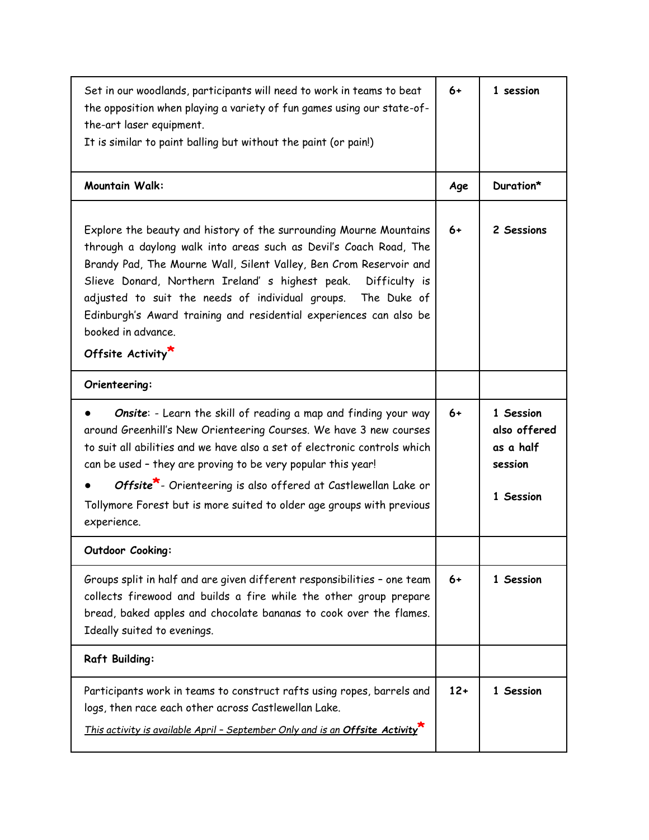| Set in our woodlands, participants will need to work in teams to beat<br>the opposition when playing a variety of fun games using our state-of-<br>the-art laser equipment.<br>It is similar to paint balling but without the paint (or pain!)                                                                                                                                                                                                                   | $6+$  | 1 session                                                      |
|------------------------------------------------------------------------------------------------------------------------------------------------------------------------------------------------------------------------------------------------------------------------------------------------------------------------------------------------------------------------------------------------------------------------------------------------------------------|-------|----------------------------------------------------------------|
| <b>Mountain Walk:</b>                                                                                                                                                                                                                                                                                                                                                                                                                                            | Age   | Duration*                                                      |
| Explore the beauty and history of the surrounding Mourne Mountains<br>through a daylong walk into areas such as Devil's Coach Road, The<br>Brandy Pad, The Mourne Wall, Silent Valley, Ben Crom Reservoir and<br>Slieve Donard, Northern Ireland' s highest peak. Difficulty is<br>adjusted to suit the needs of individual groups. The Duke of<br>Edinburgh's Award training and residential experiences can also be<br>booked in advance.<br>Offsite Activity* | $6+$  | 2 Sessions                                                     |
| Orienteering:                                                                                                                                                                                                                                                                                                                                                                                                                                                    |       |                                                                |
| Onsite: - Learn the skill of reading a map and finding your way<br>around Greenhill's New Orienteering Courses. We have 3 new courses<br>to suit all abilities and we have also a set of electronic controls which<br>can be used - they are proving to be very popular this year!<br>Offsite <sup>*</sup> - Orienteering is also offered at Castlewellan Lake or<br>Tollymore Forest but is more suited to older age groups with previous<br>experience.        | $6+$  | 1 Session<br>also offered<br>as a half<br>session<br>1 Session |
| Outdoor Cooking:                                                                                                                                                                                                                                                                                                                                                                                                                                                 |       |                                                                |
| Groups split in half and are given different responsibilities - one team<br>collects firewood and builds a fire while the other group prepare<br>bread, baked apples and chocolate bananas to cook over the flames.<br>Ideally suited to evenings.                                                                                                                                                                                                               | 6+    | 1 Session                                                      |
| <b>Raft Building:</b>                                                                                                                                                                                                                                                                                                                                                                                                                                            |       |                                                                |
| Participants work in teams to construct rafts using ropes, barrels and<br>logs, then race each other across Castlewellan Lake.<br>This activity is available April - September Only and is an Offsite Activity                                                                                                                                                                                                                                                   | $12+$ | 1 Session                                                      |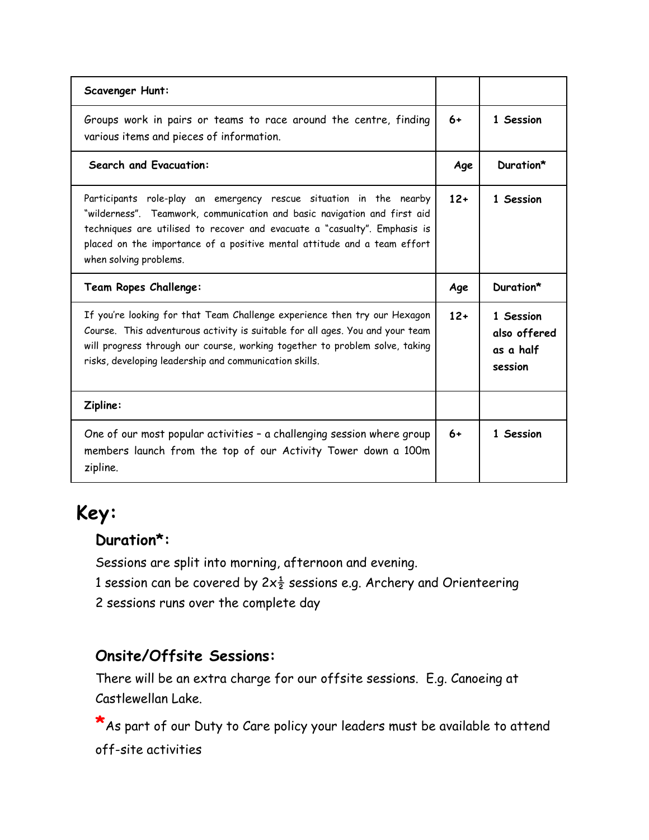| <b>Scavenger Hunt:</b>                                                                                                                                                                                                                                                                                                            |       |                                                   |
|-----------------------------------------------------------------------------------------------------------------------------------------------------------------------------------------------------------------------------------------------------------------------------------------------------------------------------------|-------|---------------------------------------------------|
| Groups work in pairs or teams to race around the centre, finding<br>various items and pieces of information.                                                                                                                                                                                                                      | $6+$  | 1 Session                                         |
| <b>Search and Evacuation:</b>                                                                                                                                                                                                                                                                                                     | Age   | Duration*                                         |
| Participants role-play an emergency rescue situation in the nearby<br>"wilderness". Teamwork, communication and basic navigation and first aid<br>techniques are utilised to recover and evacuate a "casualty". Emphasis is<br>placed on the importance of a positive mental attitude and a team effort<br>when solving problems. | $12+$ | 1 Session                                         |
|                                                                                                                                                                                                                                                                                                                                   |       |                                                   |
| Team Ropes Challenge:                                                                                                                                                                                                                                                                                                             | Age   | Duration*                                         |
| If you're looking for that Team Challenge experience then try our Hexagon<br>Course. This adventurous activity is suitable for all ages. You and your team<br>will progress through our course, working together to problem solve, taking<br>risks, developing leadership and communication skills.                               | $12+$ | 1 Session<br>also offered<br>as a half<br>session |
| Zipline:                                                                                                                                                                                                                                                                                                                          |       |                                                   |

# **Key:**

#### **Duration\*:**

Sessions are split into morning, afternoon and evening.

1 session can be covered by  $2x\frac{1}{2}$  sessions e.g. Archery and Orienteering

2 sessions runs over the complete day

#### **Onsite/Offsite Sessions:**

There will be an extra charge for our offsite sessions. E.g. Canoeing at Castlewellan Lake.

**\***As part of our Duty to Care policy your leaders must be available to attend off-site activities